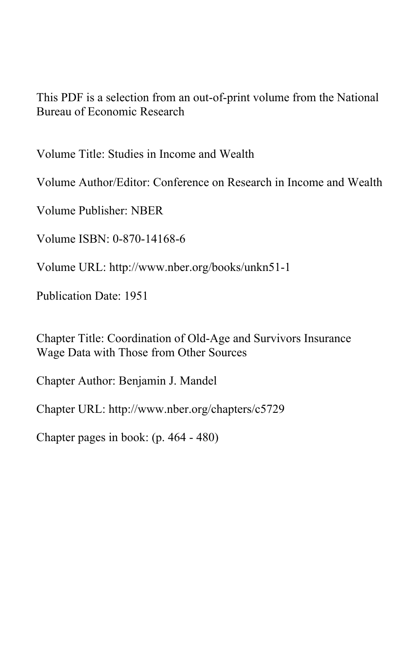This PDF is a selection from an out-of-print volume from the National Bureau of Economic Research

Volume Title: Studies in Income and Wealth

Volume Author/Editor: Conference on Research in Income and Wealth

Volume Publisher: NBER

Volume ISBN: 0-870-14168-6

Volume URL: http://www.nber.org/books/unkn51-1

Publication Date: 1951

Chapter Title: Coordination of Old-Age and Survivors Insurance Wage Data with Those from Other Sources

Chapter Author: Benjamin J. Mandel

Chapter URL: http://www.nber.org/chapters/c5729

Chapter pages in book: (p. 464 - 480)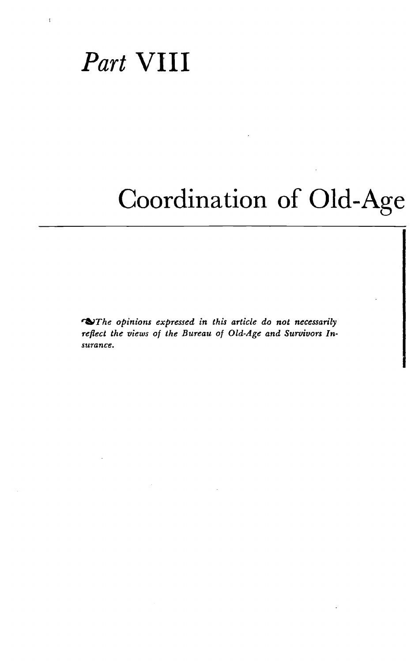### Part VIII

 $\mathbf{f}$ 

# Coordination of Old-Age

**O**The opinions expressed in this article do not necessarily reflect the views of the Bureau of Old-Age and Survivors Insurance.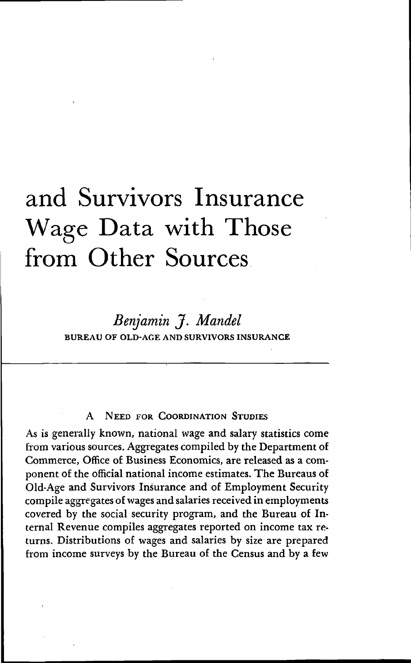## and Survivors Insurance Wage Data with Those from Other Sources.

### Benjamin J. Mandel BUREAU OF OLD-AGE AND SURViVORS INSURANCE

#### **NEED FOR COORDINATION STUDIES**

As is generally known, national wage and salary statistics come from various sources. Aggregates compiled by the Department of Commerce, Office of Business Economics, are released as a component of the official national income estimates. The Bureaus of Old-Age and Survivors Insurance and of Employment Security compile aggregates of wages and salaries received in employments covered by the social security program, and the Bureau of Internal Revenue compiles aggregates reported on income tax returns. Distributions of wages and salaries by size are prepared from income surveys by the Bureau of the Census and by a few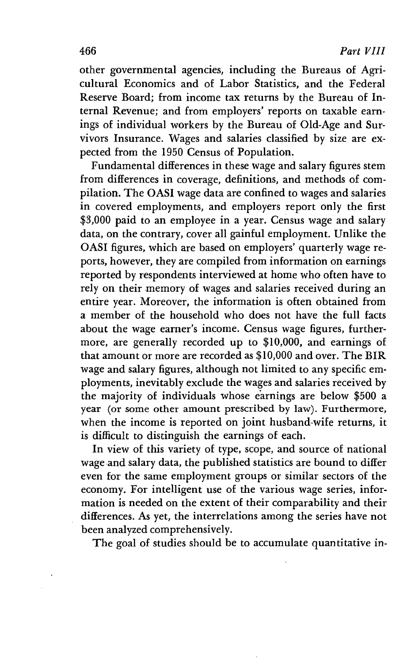other governmental agencies, including the Bureaus of Agricultural Economics and of Labor Statistics, and the Federal Reserve Board; from income tax returns by the Bureau of Internal Revenue; and from employers' reports on taxable earnings of individual workers by the Bureau of Old-Age and Survivors Insurance. Wages and salaries classified by size are expected from the 1950 Census of Population.

Fundamental differences in these wage and salary figures stem from differences in coverage, definitions, and methods of compilation. The OASI wage data are confined to wages and salaries in covered employments, and employers report only the first \$3,000 paid to an employee in a year. Census wage and salary data, on the contrary, cover all gainful employment. Unlike the OASI figures, which are based on employers' quarterly wage reports, however, they are compiled from information on earnings reported by respondents interviewed at home who often have to rely on their memory of wages and salaries received during an entire year. Moreover, the information is often obtained from a member of the household who does not have the full facts about the wage earner's income. Census wage figures, furthermore, are generally recorded up to \$10,000, and earnings of that amount or more are recorded as \$10,000 and over. The BIR wage and salary figures, although not limited to any specific employments, inevitably exclude the wages and salaries received by a member of the household who does not have the full facts<br>about the wage earner's income. Census wage figures, further-<br>more, are generally recorded up to \$10,000, and earnings of<br>that amount or more are recorded as \$10,0 year (or some other amount prescribed by law). Furthermore, when the income is reported on joint husband-wife returns, it is difficult to distinguish the earnings of each.

In view of this variety of type, scope, and source of national wage and salary data, the published statistics are bound to differ even for the same employment groups or similar sectors of the economy. For intelligent use of the various wage series, information is needed on the extent of their comparability and their differences. As yet, the interrelations among the series have not been analyzed comprehensively.

The goal of studies should be to accumulate quantitative in-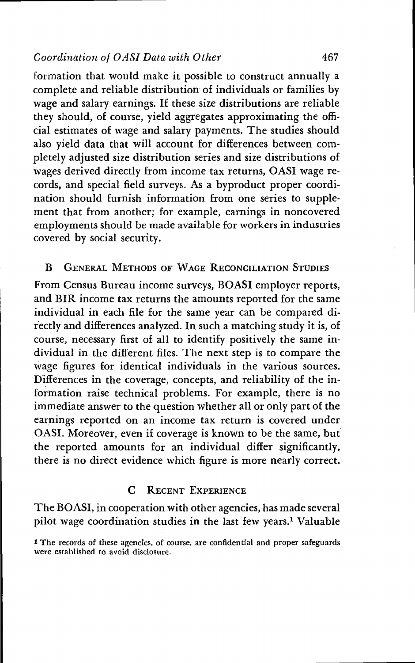formation that would make it possible to construct annually a complete and reliable distribution of individuals or families by wage and salary earnings. If these size distributions are reliable they should, of course, yield aggregates approximating the official estimates of wage and salary payments. The studies should also yield data that will account for differences between completely adjusted size distribution series and size distributions of wages derived directly from income tax returns, OASI wage records, and special field surveys. As a byproduct proper coordination should furnish information from one series to supplement that from another; for example, earnings in noncovered employments should be made available for workers in industries covered by social security.

#### B GENERAL METHODS OF WAGE RECONCILIATION STUDIES

From Census Bureau income surveys, BOASI employer reports, and BIR income tax returns the amounts reported for the same individual in each file for the same year can be compared directly and differences analyzed. In such a matching study it is, of course, necessary first of all to identify positively the same individual in the different files. The next step is to compare the wage figures for identical individuals in the various sources. Differences in the coverage, concepts, and reliability of the information raise technical problems. For example, there is no immediate answer to the question whether all or only part of the earnings reported on an income tax return is covered under OASI. Moreover, even if coverage is known to be the same, but the reported amounts for an individual differ significantly, there is no direct evidence which figure is more nearly correct.

#### C RECENT EXPERIENCE

The BOASI, in cooperation with other agencies, has made several pilot wage coordination studies in the last few years.' Valuable

<sup>1</sup> The records of these agencies, of course, are confidential and proper safeguards were established to avoid disclosure.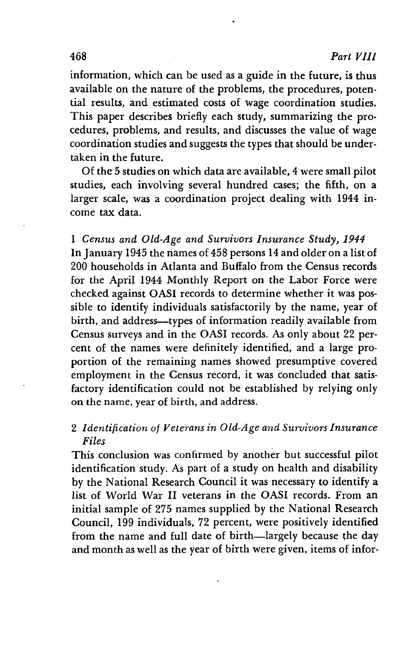information, which can be used as a guide in the future, is thus available on the nature of the problems, the procedures, potential results, and estimated costs of wage coordination studies. This paper describes briefly each study, summarizing the procedures, problems, and results, and discusses the value of wage coordination studies and suggests the types that should be undertaken in the future.

Of the 5 studies on which data are available, 4 were small pilot studies, each involving several hundred cases; the fifth, on a larger scale, was a coordination project dealing with 1944 income tax data.

1 Census and Old-Age and Survivors Insurance Study, 1944 In January 1945 the names of 458 persons 14 and older on a list of 200 households in Atlanta and Buffalo from the Census records for the April 1944 Monthly Report on the Labor Force were checked against OASI records to determine whether it was possible to identify individuals satisfactorily by the name, year of birth, and address\_\_types of information readily available from Census surveys and in the OASI records. As only about 22 percent of the names were definitely identified, and a large proportion of the remaining names showed presumptive covered employment in the Census record, it was concluded that satisfactory identification could not be established by relying only on the name, year of birth, and address.

#### 2 Identification of Veterans in Old-Age and Survivors Insurance Files

This conclusion was confirmed by another but successful pilot identification study. As part of a study on health and disability by the National Research Council it was necessary to identify a list of World War II veterans in the OASI records. From an initial sample of 275 names supplied by the National Research Council, 199 individuals, 72 percent, were positively identified from the name and full date of birth—largely because the day and month as well as the year of birth were given, items of infor-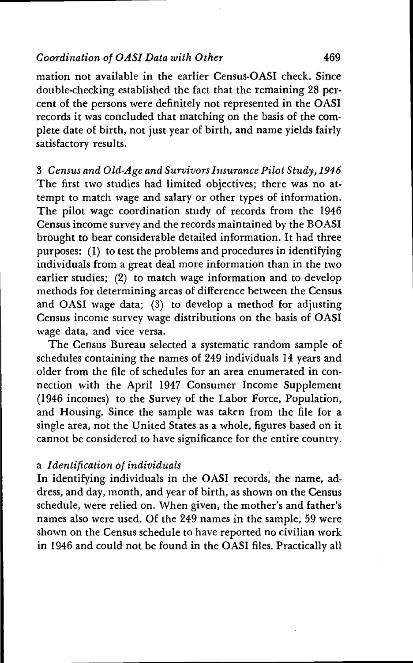mation not available in the earlier Census-OASI check. Since double-checking established the fact that the remaining 28 per. cent of the persons were definitely not represented in the OASI records it was concluded that matching on the basis of the complete date of birth, not just year of birth, and name yields fairly satisfactory results.

3 Census and Old-Age and Survivors Insurance Pilot Study, 1946 The first two studies had limited objectives; there was no attempt to match wage and salary or other types of information. The pilot wage coordination study of records from the 1946 Census income survey and the records maintained by the BOASI brought to bear considerable detailed information. It had three purposes: (1) to test the problems and procedures in identifying individuals from a great deal more information than in the two earlier studies; (2) to match wage information and to develop methods for determining areas of difference between the Census and OASI wage data; (3) to develop a method for adjusting Census income survey wage distributions on the basis of OASI wage data, and vice versa.

The Census Bureau selected a systematic random sample of schedules containing the names of 249 individuals 14 years and older from the file of schedules for an area enumerated in connection with the April 1947 Consumer Income Supplement (1946 incomes) to the Survey of the Labor Force, Population, and Housing. Since the sample was taken from the file for a single area, not the United States as a whole, figures based on it cannot be considered to have significance for the entire country.

#### a Identification of individuals

In identifying individuals in the OASI records, the name, address, and day, month, and year of birth, as shown on the Census schedule, were relied on. When given, the mother's and father's names also were used. Of the 249 names in the sample, 59 were shown on the Census schedule to have reported no civilian work in 1946 and could not be found in the OASI files. Practically all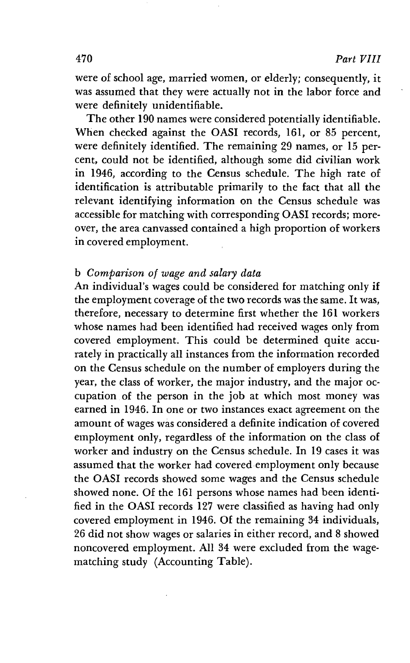were of school age, married women, or elderly; consequently, it was assumed that they were actually not in the labor force and were definitely unidentifiable.

The other 190 names were considered potentially identifiable. When checked against the OASI records, 161, or 85 percent, were definitely identified. The remaining 29 names, or 15 percent, could not be identified, although some did civilian work in 1946, according to the Census schedule. The high rate of identification is attributable primarily to the fact that all the relevant identifying information on the Census schedule was accessible for matching with corresponding OASI records; moreover, the area canvassed contained a high proportion of workers in covered employment.

#### b Comparison of wage and salary data

An individual's wages could be considered for matching only if the employment coverage of the two records was the same. It was, therefore, necessary to determine first whether the 161 workers whose names had been identified had received wages only from covered employment. This could be determined quite accurately in practically all instances from the information recorded on the Census schedule on the number of employers during the year, the class of worker, the major industry, and the major occupation of the person in the job at which most money was earned in 1946. In one or two instances exact agreement on the amount of wages was considered a definite indication of covered employment only, regardless of the information on the class of worker and industry on the Census schedule. In 19 cases it was assumed that the worker had covered employment only because the OASI records showed some wages and the Census schedule showed none. Of the 161 persons whose names had been identified in the OASI records 127 were classified as having had only covered employment in 1946. Of the remaining 34 individuals, 26 did not show wages or salaries in either record, and 8 showed noncovered employment. All 34 were excluded from the wagematching study (Accounting Table).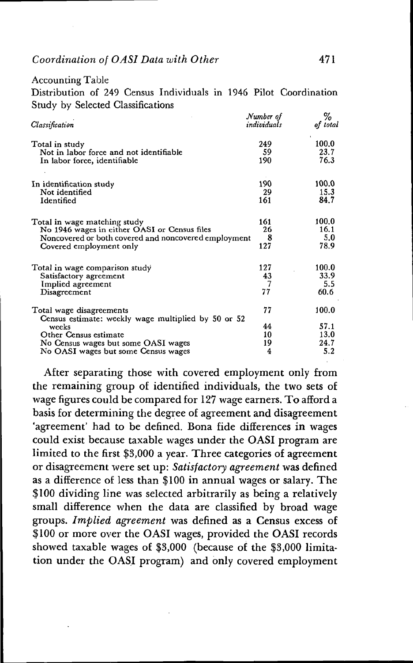#### Accounting Table

Distribution of 249 Census Individuals in 1946 Pilot Coordination Study by Selected Classifications

| Classification                                                                                                                                                  | Number of<br>individuals | %<br>of total                         |  |
|-----------------------------------------------------------------------------------------------------------------------------------------------------------------|--------------------------|---------------------------------------|--|
| Total in study<br>Not in labor force and not identifiable<br>In labor force, identifiable                                                                       | 249.<br>59<br>190        | $\mathbf{r}$<br>100.0<br>23.7<br>76.3 |  |
| In identification study<br>Not identified<br>Identified                                                                                                         | 190<br>29<br>161         | 100.0<br>15.3<br>84.7                 |  |
| Total in wage matching study<br>No 1946 wages in either OASI or Census files<br>Noncovered or both covered and noncovered employment<br>Covered employment only | 161<br>26<br>8<br>127    | 100.0<br>16.1<br>5.0<br>78.9          |  |
| Total in wage comparison study<br>Satisfactory agreement<br>Implied agreement<br>Disagreement                                                                   | 127<br>43<br>77          | 100.0<br>33.9<br>5.5<br>60.6          |  |
| Total wage disagreements<br>Census estimate: weekly wage multiplied by 50 or 52                                                                                 | 77                       | 100.0                                 |  |
| weeks<br>Other Census estimate                                                                                                                                  | 44<br>10<br>19           | 57.1<br>13.0<br>24.7                  |  |
| No Census wages but some OASI wages<br>No OASI wages but some Census wages                                                                                      | 4                        | 5.2                                   |  |

After separating those with covered employment only from the remaining group of identified individuals, the two sets of wage figures could be compared for 127 wage earners. To afford a basis for determining the degree of agreement and disagreement 'agreement' had to be defined. Bona fide differences in wages could exist because taxable wages under the OASI program are limited to the first \$3,000 a year. Three categories of agreement or disagreement were set up: Satisfactory agreement was defined as a difference of less than \$100 in annual wages or salary. The \$100 dividing line was selected arbitrarily as being a relatively small difference when the data are classified by broad wage groups. Implied agreement was defined as a Census excess of \$100 or more over the OASI wages, provided the OASI records showed taxable wages of \$3,000 (because of the \$3,000 limitation under the OASI program) and only covered employment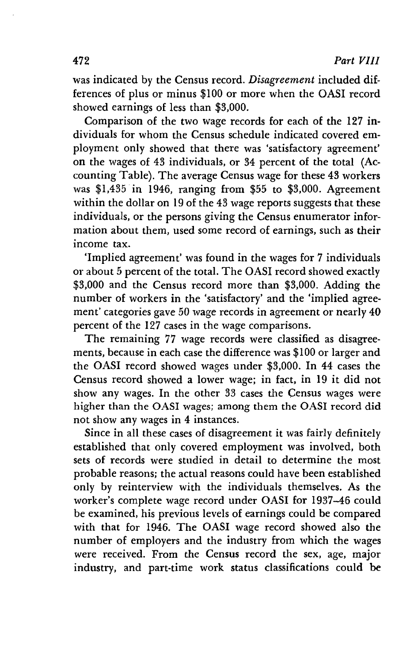was indicated by the Census record. Disagreement included differences of plus or minus \$100 or more when the OASI record showed earnings of less than \$3,000.

Comparison of the two wage records for each of the 127 individuals for whom the Census schedule indicated covered employment only showed that there was 'satisfactory agreement' on the wages of 43 individuals, or 34 percent of the total (Accounting Table). The average Census wage for these 43 workers was \$1,435 in 1946, ranging from \$55 to \$3,000. Agreement within the dollar on 19 of the 43 wage reports suggests that these individuals, or the persons giving the Census enumerator information about them, used some record of earnings, such as their income tax.

'Implied agreement' was found in the wages for 7 individuals or about 5 percent of the total. The OASI record showed exactly \$3,000 and the Census record more than \$3,000. Adding the number of workers in the 'satisfactory' and the 'implied agreement' categories gave 50 wage records in agreement or nearly 40 percent of the 127 cases in the wage comparisons.

The remaining 77 wage records were classified as disagreements, because in each case the difference was \$100 or larger and the OASI record showed wages under \$3,000. In 44 cases the Census record showed a lower wage; in fact, in 19 it did not show any wages. In the other 33 cases the Census wages were higher than the OASI wages; among them the OASI record did not show any wages in 4 instances.

Since in all these cases of disagreement it was fairly definitely established that only covered employment was involved, both sets of records were studied in detail to determine the most probable reasons; the actual reasons could have been established only by reinterview with the individuals themselves. As the worker's complete wage record under OASI for 1937—46 could be examined, his previous levels of earnings could be compared with that for 1946. The OASI wage record showed also the number of employers and the industry from which the wages were received. From the Census record the sex, age, major industry, and part-time work status classifications could be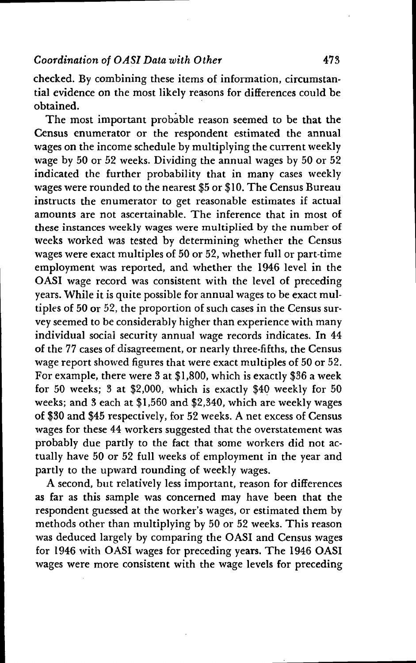checked. By combining these items of information, circumstantial evidence on the most likely reasons for differences could be obtained.

The most important probable reason seemed to be that the Census enumerator or the respondent estimated the annual wages on the income schedule by multiplying the current weekly wage by 50 or 52 weeks. Dividing the annual wages by 50 or 52 indicated the further probability that in many cases weekly wages were rounded to the nearest \$5 or \$10. The Census Bureau instructs the enumerator to get reasonable estimates if actual amounts are not ascertainable. The inference that in most of these instances weekly wages were multiplied by the number of weeks worked was tested by determining whether the Census wages were exact multiples of 50 or 52, whether full or part-time employment was reported, and whether the 1946 level in the OASI wage record was consistent with the level of preceding years. While it is quite possible for annual wages to be exact multiples of 50 or 52, the proportion of such cases in the Census survey seemed to be considerably higher than experience with many individual social security annual. wage records indicates. In 44 of the 77 cases of disagreement, or nearly three-fifths, the Census wage report showed figures that were exact multiples of 50 or 52. For example, there were 3 at \$1,800, which is exactly \$36 a week for 50 weeks; 3 at \$2,000, which is exactly \$40 weekly for 50 weeks; and 3 each at \$1,560 and \$2,340, which are weekly wages of \$30 and \$45 respectively, for 52 weeks. A net excess of Census wages for these 44 workers suggested that the overstatement was probably due partly to the fact that some workers did not actually have 50 or 52 full weeks of employment in the year and partly to the upward rounding of weekly wages.

A second, but relatively less important, reason for differences as far as this sample was concerned may have been that the respondent guessed at the worker's wages, or estimated them by methods other than multiplying by 50 or 52 weeks. This reason was deduced largely by comparing the OASI and Census wages for 1946 with OASI wages for preceding years. The 1946 OASI wages were more consistent with the wage levels for preceding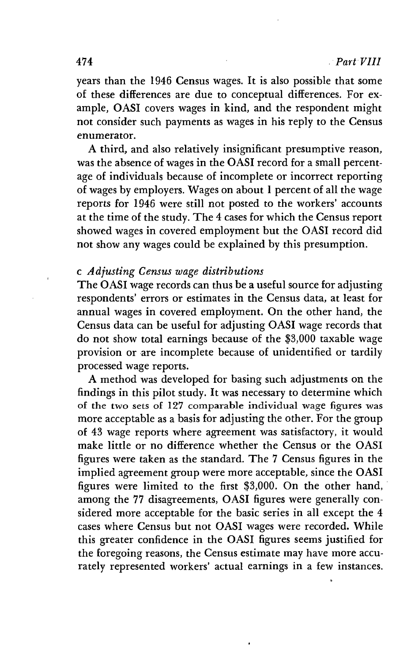years than the 1946 Census wages. It is also possible that some of these differences are due to conceptual differences. For example, OASI covers wages in kind, and the respondent might not consider such payments as wages in his reply to the Census enumerator.

A third, and also relatively insignificant presumptive reason, was the absence of wages in the OASI record for a small percentage of individuals because of incomplete or incorrect reporting of wages by employers. Wages on about 1 percent of all the wage reports for 1946 were still not posted to the workers' accounts at the time of the study. The 4 cases for which the Census report showed wages in covered employment but the OASI record did not show any wages could be explained by this presumption.

#### c Adjusting Census wage distributions

The OASI wage records can thus be a useful source for adjusting respondents' errors or estimates in the Census data, at least for annual wages in covered employment. On the other hand, the Census data can be useful for adjusting OASI wage records that do not show total earnings because of the \$3,000 taxable wage provision or are incomplete because of unidentified or tardily processed wage reports.

A method was developed for basing such adjustments on the findings in this pilot study. It was necessary to determine which of the two sets of 127 comparable individual wage figures was more acceptable as a basis for adjusting the other. For the group of 43 wage reports where agreement was satisfactory, it would make little or no difference whether the Census or the OASI figures were taken as the standard. The 7 Census figures in the implied agreement group were more acceptable, since the OASI figures were limited to the first \$3,000. On the other hand, among the 77 disagreements, OASI figures were generally considered more acceptable for the basic series in all except the 4 cases where Census but not OASI wages were recorded. While this greater confidence in the OASI figures seems justified for the foregoing reasons, the Census estimate may have more accurately represented workers' actual earnings in a few instances.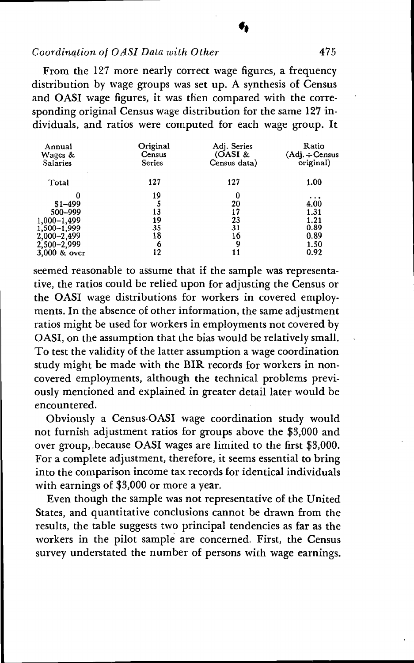From the 127 more nearly correct wage figures, a frequency distribution by wage groups was set up. A synthesis of Census and OAST wage figures, it was then compared with the corresponding original Census wage distribution for the same 127 individuals, and ratios were computed for each wage group. It

| Annual<br>Wages &<br><b>Salaries</b> | Original<br>Census<br><b>Series</b> | Adj. Series<br>(OASI &<br>Census data) | Ratio<br>$(Adj. \div Census$<br>original) |
|--------------------------------------|-------------------------------------|----------------------------------------|-------------------------------------------|
| Total                                | 127                                 | 127                                    | 1.00                                      |
|                                      | 19                                  | 0                                      | .                                         |
| $$1 - 499$                           |                                     | 20                                     | 4.00                                      |
| 500-999                              | 13                                  | 17                                     | 1.31                                      |
| 1,000-1,499                          | 19                                  | 23                                     | 1.21                                      |
| $1,500-1,999$                        | 35                                  | 31                                     | 0.89.                                     |
| 2,000-2,499                          | 18                                  | 16                                     | 0.89                                      |
| 2,500-2,999                          | 6                                   | 9                                      | 1.50                                      |
| 3,000 & over                         | 12                                  |                                        | 0.92                                      |

seemed reasonable to assume that if the sample was representative, the ratios could be relied upon for adjusting the Census or the OASI wage distributions for workers in covered employments. In the absence of other information, the same adjustment ratios might be used for workers in employments not covered by OASI, on the assumption that the bias would be relatively small. To test the validity of the latter assumption a wage coordination study might be made with the BIR records for workers in noncovered employments, although the technical problems previously mentioned and explained in greater detail later would be encountered.

Obviously a Census-OASI wage coordination study would not furnish adjustment ratios for groups above the \$3,000 and over group, because OASI wages are limited to the first \$3,000. For a complete adjustment, therefore, it seems essential to bring into the comparison income tax records for identical individuals with earnings of \$3,000 or more a year.

Even though the sample was not representative of the United States, and quantitative conclusions cannot be drawn from the results, the table suggests two principal tendencies as far as the workers in the pilot sample are concerned. First, the Census survey understated the number of persons with wage earnings.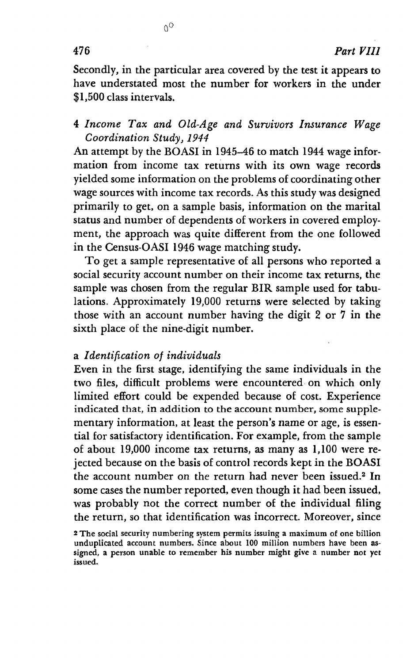Secondly, in the particular area covered by the test it appears to have understated most the number for workers in the under \$1,500 class intervals.

 $0<sup>0</sup>$ 

#### 4 Income Tax and Old-Age and Survivors Insurance Wage Coordination Study, 1944

An attempt by the BOASI in 1945-46 to match 1944 wage information from income tax returns with its own wage records yielded some information on the problems of coordinating other wage sources with income tax records. As this study was designed primarily to get, on a sample basis, information on the marital status and number of dependents of workers in covered employment, the approach was quite different from the one followed in the Census-OASI 1946 wage matching study.

To get a sample representative of all persons who reported a social security account number on their income tax returns, the sample was chosen from the regular BIR sample used for tabulations. Approximately 19,000 returns were selected by taking those with an account number having the digit 2 or 7 in the sixth place of the nine-digit number.

#### a Identification of individuals

Even in the first stage, identifying the same individuals in the two files, difficult problems were encountered. on which only limited effort could be expended because of cost. Experience indicated that, in addition to the account number, some supplementary information, at least the person's name or age, is essential for satisfactory identification. For example, from the sample of about 19,000 income tax returns, as many as 1,100 were rejected because on the basis of control records kept in the BOASI the account number on the return had never been issued.2 In some cases the number reported, even though it had been issued, was probably not the correct number of the individual filing the return, so that identification was incorrect. Moreover, since

<sup>2</sup> The social security numbering system permits issuing a maximum of one billion unduplicated account numbers. Since about 100 million numbers have been assigned, a person unable to remember his number might give a number not yet issued.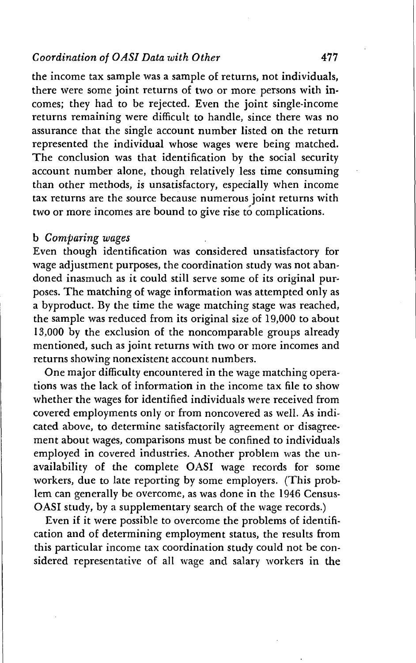the income tax sample was a sample of returns, not individuals, there were some joint returns of two or more persons with incomes; they had to be rejected. Even the joint single-income returns remaining were difficult to handle, since there was no assurance that the single account number listed on the return represented the individual whose wages were being matched. The conclusion was that identification by the social security account number alone, though relatively less time consuming than other methods, is unsatisfactory, especially when income tax returns are the source because numerous joint returns with two or more incomes are bound to give rise to complications.

#### b Comparing wages

Even though identification was considered unsatisfactory for wage adjustment purposes, the coordination study was not abandoned inasmuch as it could still serve some of its original purposes. The matching of wage information was attempted only as a byproduct. By the time the wage matching stage was reached, the sample was reduced from its original size of 19,000 to about 13,000 by the exclusion of the noncomparable groups already mentioned, such as joint returns with two or more incomes and returns showing nonexistent account numbers.

One major difficulty encountered in the wage matching operations was the lack of information in the income tax file to show whether the wages for identified individuals were received from covered employments only or from noncovered as well. As indicated above, to determine satisfactorily agreement or disagreement about wages, comparisons must be confined to individuals employed in covered industries. Another problem was the unavailability of the complete OASI wage records for some workers, due to late reporting by some employers. (This problem can generally be overcome, as was done in the 1946 Census-OASI study, by a supplementary search of the wage records.)

Even if it were possible to overcome the problems of identification and of determining employment status, the results from this particular income tax coordination study could not be considered representative of all wage and salary workers in the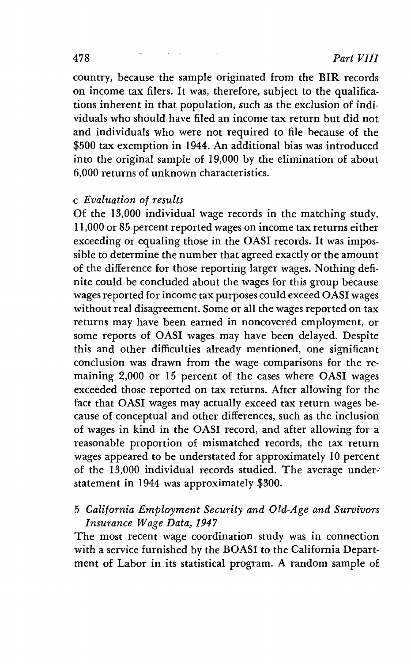country, because the sample originated from the BIR records on income tax filers. It was, therefore, subject to the qualifications inherent in that population, such as the exclusion of individuals who should have filed an income tax return but did not and individuals who were not required to file because of the \$500 tax exemption in 1944. An additional bias was introduced into the original sample of 19,000 by the elimination of about 6,000 returns of unknown characteristics.

#### c Evaluation of results

Of the 13,000 individual wage records in the matching study, 11,000 or 85 percent reported wages on income tax returns either exceeding or equaling those in the OASI records. It was impossible to determine the number that agreed exactly or the amount of the difference for those reporting larger wages. Nothing definite could be concluded about the wages for this group because wages reported for income tax purposes could exceed OASI wages without real disagreement. Some or all the wages reported on tax returns may have been earned in noncovered employment, or some reports of OASI wages may have been delayed. Despite this and other difficulties already mentioned, one significant conclusion was drawn from the wage comparisons for the remaining 2,000 or 15 percent of the cases where OASI wages exceeded those reported on tax returns. After allowing for the fact that OASI wages may actually exceed tax return wages because of conceptual and other differences, such as the inclusion of wages in kind in the OASI record, and after allowing for a reasonable proportion of mismatched records, the tax return wages appeared to be understated for approximately 10 percent of the 13,000 individual records studied. The average statement in 1944 was approximately \$300.

#### 5 California Employment Security and Old-Age and Survivors Insurance Wage Data, 1947

The most recent wage coordination study was in connection with a service furnished by the BOAST to the California Department of Labor in its statistical program. A random sample of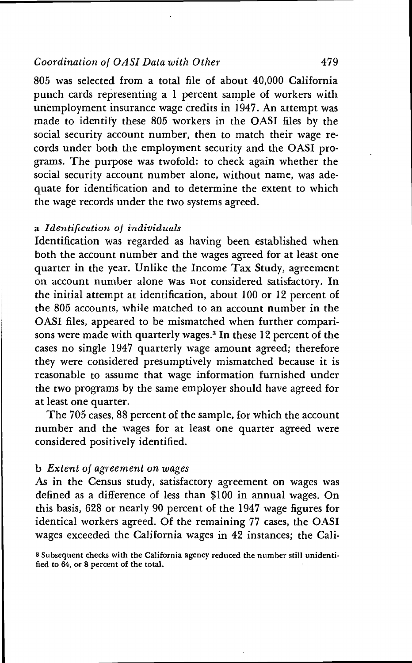805 was selected from a total file of about 40,000 California punch cards representing a 1 percent sample of workers with unemployment insurance wage credits in 1947. An attempt was made to identify these 805 workers in the OASI files by the social security account number, then to match their wage records under both the employment security and the OASI programs. The purpose was twofold: to check again whether the social security account number alone, without name, was adequate for identification and to determine the extent to which the wage records under the two systems agreed.

#### a Identification of individuals

Identification was regarded as having been established when both the account number and the wages agreed for at least one quarter in the year. Unlike the Income Tax Study, agreement on account number alone was not considered satisfactory. In the initial attempt at identification, about 100 or 12 percent of the 805 accounts, while matched to an account number in the OASI files, appeared to be mismatched when further comparisons were made with quarterly wages.<sup>3</sup> In these 12 percent of the cases no single 1947 quarterly wage amount agreed; therefore they were considered presumptively mismatched because it is reasonable to assume that wage information furnished under the two programs by the same employer should have agreed for at least one quarter.

The 705 cases, 88 percent of the sample, for which the account number and the wages for at least one quarter agreed were considered positively identified.

#### b Extent of agreement on wages

As in the Census study, satisfactory agreement on wages was defined as a difference of less than \$100 in annual wages. On this basis, 628 or nearly 90 percent of the 1947 wage figures for identical workers agreed. Of the remaining 77 cases, the OASI wages exceeded the California wages in 42 instances; the Cali-

3 Subsequent checks with the California agency reduced the number still unidenti. fied to  $64$ , or 8 percent of the total.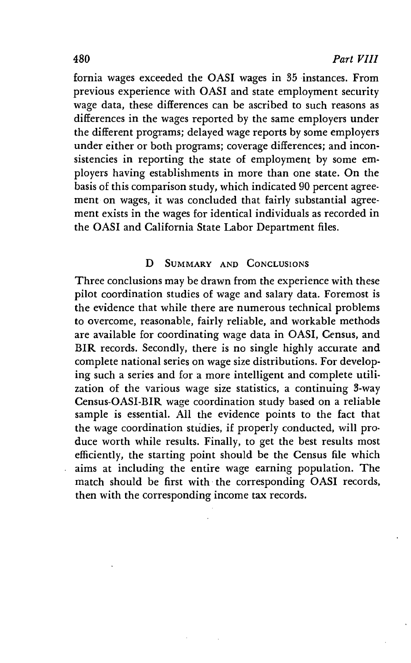fornia wages exceeded the OASI wages in 35 instances. From previous experience with OASI and state employment security wage data, these differences can be ascribed to such reasons as differences in the wages reported by the same employers under the different programs; delayed wage reports by some employers under either or both programs; coverage differences; and inconsistencies in reporting the state of employment by some employers having establishments in more than one state. On the basis of this comparison study, which indicated 90 percent agreement on wages, it was concluded that fairly substantial agreement exists in the wages for identical individuals as recorded in the OASI and California State Labor Department files.

#### D SUMMARY AND CONCLUSIONS

Three conclusions may be drawn from the experience with these pilot coordination studies of wage and salary data. Foremost is the evidence that while there are numerous technical problems to overcome, reasonable, fairly reliable, and workable methods are available for coordinating wage data in OASI, Census, and BIR records. Secondly, there is no single highly accurate and complete national series on wage size distributions. For developing such a series and for a more intelligent and complete utilization of the various wage size statistics, a continuing 3-way Census-OASI-BIR wage coordination study based on a reliable sample is essential. All the evidence points to the fact that the wage coordination studies, if properly conducted, will produce worth while results. Finally, to get the best results most efficiently, the starting point should be the Census file which aims at including the entire wage earning population. The match should be first with the corresponding OASI records, then with the corresponding income tax records.